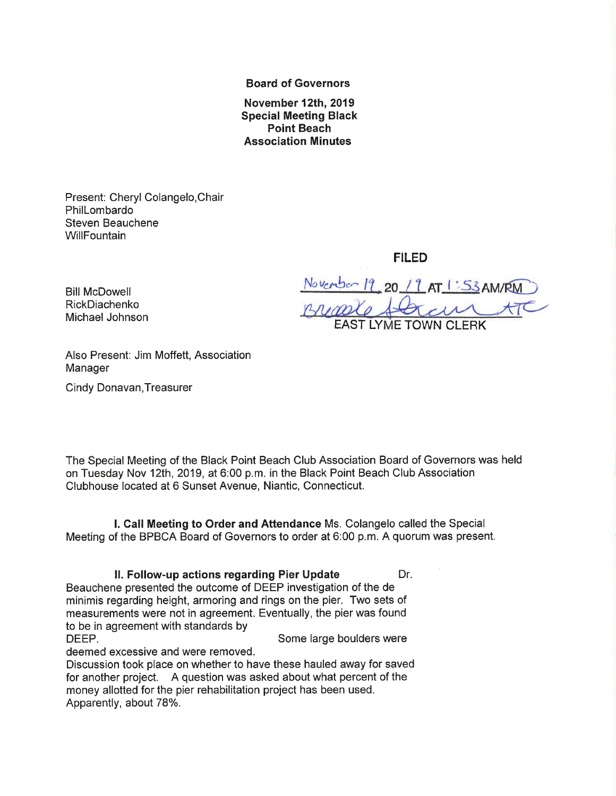Board of Governors

November 12th,2019 Special Meeting Black Point Beach Association Minutes

Present: Cheryl Colangelo,Chair PhilLombardo Steven Beauchene **WillFountain** 

FILED

Bill McDowell<br>RickDiachenko<br>Mishael Jahren / *11, 120 L 1 AT 1:SSAM/RM* Michael Johnson EAST LYME TOWN CLERK

Also Present: Jim Moffett, Association Manager

Cindy Donavan,Treasurer

RickDiachenko

The Special Meeting of the Black Point Beach Club Association Board of Governors was held on Tuesday Nov 12th,2019, at 6:00 p.m. in the Black Point Beach Club Association Clubhouse located at 6 Sunset Avenue, Niantic, Connecticut.

l. Call Meeting to Order and Attendance Ms. Colangelo called the Special Meeting of the BPBCA Board of Governors to order at 6:00 p.m. A quorum was present.

II. Follow-up actions regarding Pier Update Dr. Beauchene presented the outcome of DEEP investigation of the de minimis regarding height, armoring and rings on the pier. Two sets of measurements were not in agreement. Eventually, the pier was found to be in agreement with standards by DEEP. Some large boulders were

deemed excessive and were removed.

Discussion took place on whether to have these hauled away for saved for another project. A question was asked about what percent of the money allotted for the pier rehabilitation project has been used. Apparently, about 78%.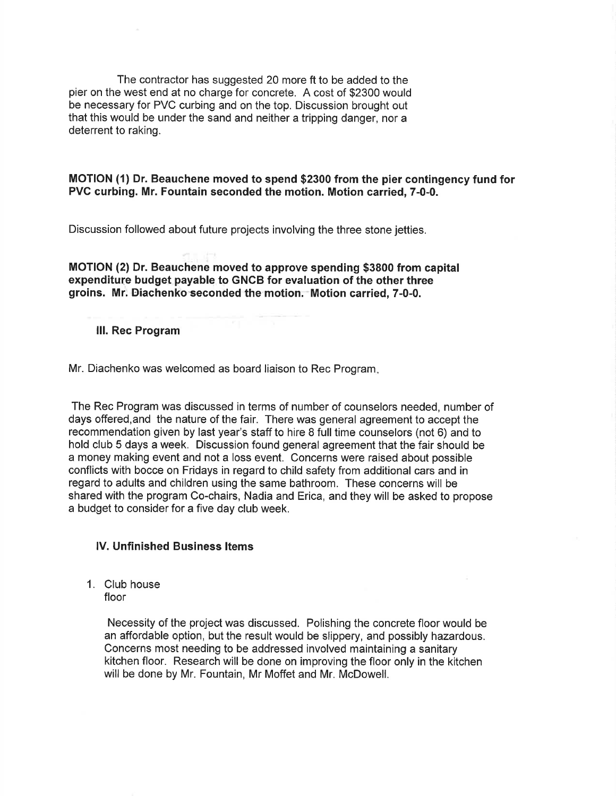The contractor has suggested 20 more ft to be added to the pier on the west end at no charge for concrete. A cost of \$2300 would be necessary for PVC curbing and on the top. Discussion brought out that this would be under the sand and neither a tripping danger, nor a deterrent to raking.

#### MOTION (1) Dr. Beauchene moved to spend \$2300 from the pier contingency fund for PVC curbing. Mr. Fountain seconded the motion. Motion carried, 7-0-0.

Discussion followed about future projects involving the three stone jetties.

MOTION (2) Dr. Beauchene moved to approve spending \$3800 from capital expenditure budget payable to GNGB for evaluation of the other three groins. Mr. Eiachenko'seconded the motion."Motion carried, 7-0-0.

#### lll. Rec Program

Mr. Diachenko was welcomed as board liaison to Rec Program

The Rec Program was discussed in terms of number of counselors needed, number of days offered,and the nature of the fair. There was general agreement to accept the recommendation given by last year's staff to hire 8 full time counselors (not 6) and to hold club 5 days a week. Discussion found general agreement that the fair should be a money making event and not a loss event. Concerns were raised about possible conflicts with bocce on Fridays in regard to child safety from additional cars and in regard to adults and children using the same bathroom. These concerns will be shared with the program Co-chairs, Nadia and Erica, and they will be asked to propose a budget to consider for a five day club week.

#### lV. Unfinished Business ltems

1. Club house floor

> Necessity of the project was discussed. Polishing the concrete floor would be an affordable option, but the result would be slippery, and possibly hazardous. Concerns most needing to be addressed involved maintaining a sanitary kitchen floor. Research will be done on improving the floor only in the kitchen will be done by Mr. Fountain, Mr Moffet and Mr. McDowell.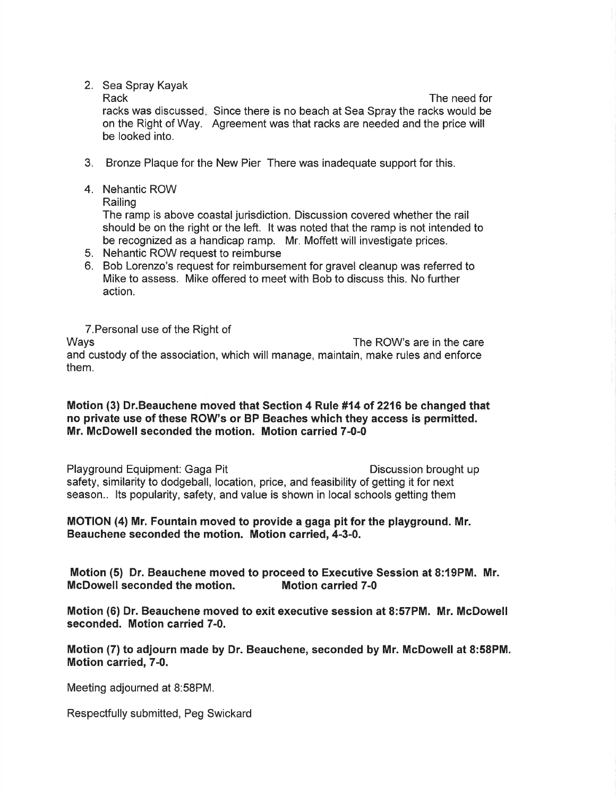2. Sea Spray Kayak

Rack

racks was discussed. Since there is no beach at Sea Spray the racks would be on the Right of Way. Agreement was that racks are needed and the price will be looked into. The need for

- 3. Bronze Plaque for the New Pier There was inadequate support for this.
- 4. Nehantic ROW
	- Railing

The ramp is above coastal jurisdiction. Discussion covered whether the rail should be on the right or the left. lt was noted that the ramp is not intended to be recognized as a handicap ramp. Mr. Moffett will investigate prices.

- 5. Nehantic ROW request to reimburse
- 6. Bob Lorenzo's request for reimbursement for gravel cleanup was referred to Mike to assess. Mike offered to meet with Bob to discuss this. No further action.

T.Personal use of the Right of Ways The ROW's are in the care and custody of the association, which will manage, maintain, make rules and enforce them.

#### Motion (3) Dr.Beauchene moved that Section 4 Rule #14 of 2216 be changed that no private use of these ROW's or BP Beaches which they access is permitted. Mr. McDowell seconded the motion. Motion carried 7-0-0

Playground Equipment: Gaga Pit **Discussion brought up** safety, similarity to dodgeball, location, price, and feasibility of getting it for next season.. lts popularity, safety, and value is shown in local schools getting them

# MOTION (a) Mr. Fountain moved to provide a gaga pit for the playground. Mr. Beauchene seconded the motion. Motion carried, 4-3-0.

Motion (5) Dr. Beauchene moved to proceed to Executive Session at 8:19PM. Mr. McDowellseconded the motion. Motion carried 7-0

Motion (6) Dr. Beauchene moved to exit executive session at 8:57PM. Mr. McDowell seconded. Motion carried 7-0.

Motion (7) to adjourn made by Dr. Beauchene, seconded by Mr. McDowell at 8:58PM. Motion carried, 7-0.

Meeting adjourned at 8:58PM.

Respectfully submitted, Peg Swickard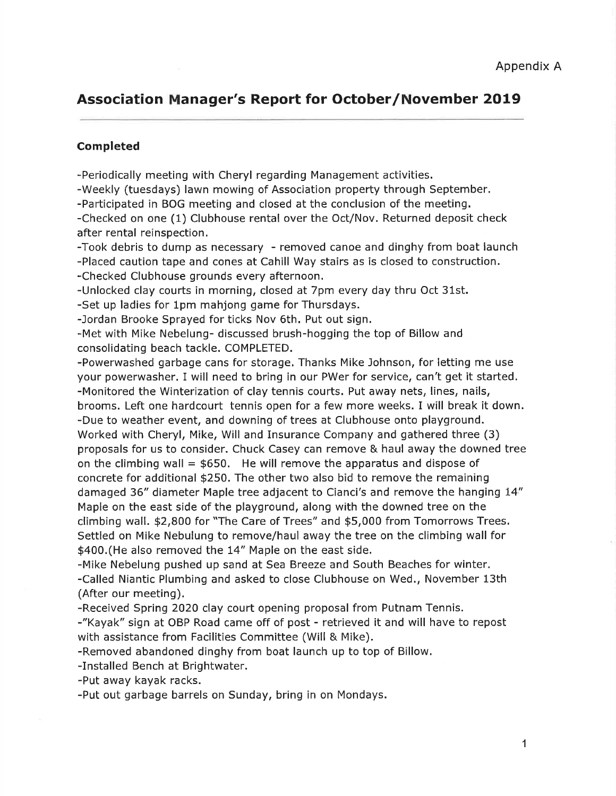# Association Manager's Report for October/November 2019

#### Completed

-Periodically meeting with Cheryl regarding Management activities.

-Weekly (tuesdays) lawn mowing of Association property through September.

-Participated in BOG meeting and closed at the conclusion of the meeting.

-Checked on one (1) Clubhouse rental over the Oct/Nov. Returned deposit check after rental reinspection.

-Took debris to dump as necessary - removed canoe and dinghy from boat launch -Placed caution tape and cones at Cahill Way stairs as is closed to construction.

-Checked Clubhouse grounds every afternoon.

-Unlocked clay courts in morning, closed at 7pm every day thru Oct 31st.

-Set up ladies for 1pm mahjong game for Thursdays.

-Jordan Brooke Sprayed for ticks Nov 6th. Put out sign.

-Met with Mike Nebelung- discussed brush-hogging the top of Billow and consolidating beach tackle. COMPLETED.

-Powerwashed garbage cans for storage. Thanks Mike Johnson, for letting me use your powerwasher. I will need to bring in our PWer for service, can't get it started. -Monitored the Winterization of clay tennis courts. Put away nets, lines, nails, brooms. Left one hardcourt tennis open for a few more weeks. I will break it down. -Due to weather event, and downing of trees at Clubhouse onto playground. Worked with Cheryl, Mike, Will and Insurance Company and gathered three (3) proposals for us to consider. Chuck Casey can remove & haul away the downed tree on the climbing wall  $= $650$ . He will remove the apparatus and dispose of concrete for additional \$250. The other two also bid to remove the remaining damaged 36" diameter Maple tree adjacent to Cianci's and remove the hanging 14" Maple on the east side of the playground, along with the downed tree on the climbing wall. \$2,800 for "The Care of Trees" and \$5,000 from Tomorrows Trees, Settled on Mike Nebulung to remove/haul away the tree on the climbing wall for \$400.(He also removed the 14" Maple on the east side.

-Mike Nebelung pushed up sand at Sea Breeze and South Beaches for winter. -Called Niantic Plumbing and asked to close Clubhouse on Wed., November 13th (After our meeting).

-Received Spring 2020 clay court opening proposal from Putnam Tennis.

-"Kayak" sign at OBP Road came off of post - retrieved it and will have to repost with assistance from Facilities Committee (Will & Mike).

-Removed abandoned dinghy from boat launch up to top of Billow.

-Installed Bench at Brightwater.

-Put away kayak racks.

-Put out garbage barrels on Sunday, bring in on Mondays.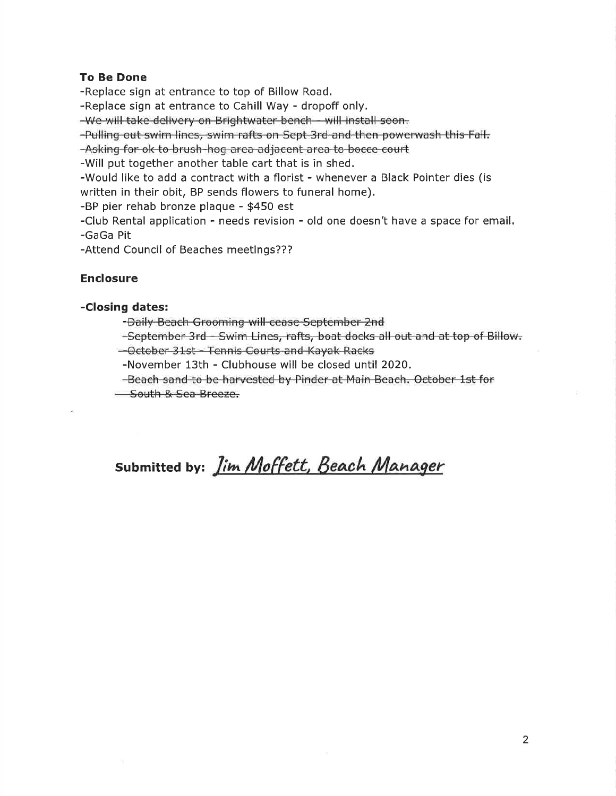# To Be Done

-Replace sign at entrance to top of Billow Road.

-Replace sign at entrance to Cahill Way - dropoff only.

-We will take delivery on Brightwater bench - will install soon.

-Pulling out swim lines, swim rafts on Sept 3rd and then powerwash this Fall.

-Asking for ok to brush-hog area adjacent area to bocce court

-Will put together another table cart that is in shed.

-Would like to add a contract with a florist - whenever a Black Pointer dies (is written in their obit, BP sends flowers to funeral home).

-BP pier rehab bronze plaque - \$450 est

-Club Rental application - needs revision - old one doesn't have a space for email. -GaGa Pit

-Attend Council of Beaches meetings???

# Enclosure

# -Closing dates:

-Daily Beach Grooming will cease September 2nd

-September 3rd - Swim Lines, rafts, boat docks all out and at top of Billow.

-October 31st - Tennis Courts and Kayak Racks

-November 13th - Clubhouse will be closed until 2020.

-Beach sand to be harvested by Pinder at Main Beach. October 1st for

- South & Sea Breeze.

# submitted by: *Jim Moffett, Beach Manager*